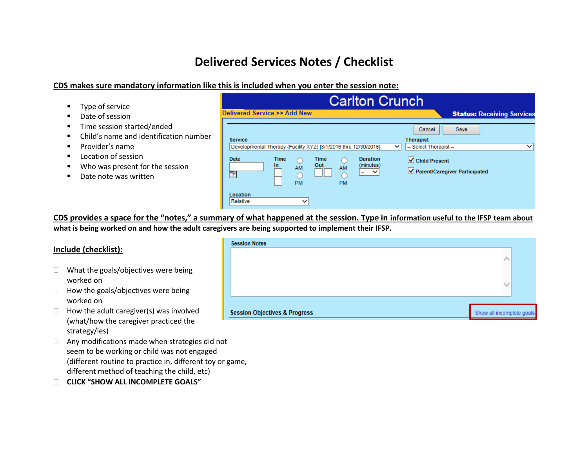# **Delivered Services Notes / Checklist**

### **CDS makes sure mandatory information like this is included when you enter the session note:**

| Type of service                                                                                            | <b>Carlton Crunch</b>                                                                                                                                                                                         |                                                                                                              |  |  |
|------------------------------------------------------------------------------------------------------------|---------------------------------------------------------------------------------------------------------------------------------------------------------------------------------------------------------------|--------------------------------------------------------------------------------------------------------------|--|--|
| Date of session<br>Time session started/ended<br>Child's name and identification number<br>Provider's name | Delivered Service >> Add New<br><b>Service</b>                                                                                                                                                                | <b>Status: Receiving Service</b><br><b>Save</b><br>Cancel<br><b>Therapist</b><br>$\check{ }$<br>$\checkmark$ |  |  |
| Location of session<br>Who was present for the session<br>Date note was written                            | Developmental Therapy (Facility XYZ) [8/1/2016 thru 12/30/2016]<br><b>Duration</b><br>Date<br>Time<br>Time<br>Out<br>(minutes)<br>$\mathbf{m}$<br>AM<br>AM<br>$\sim$<br>$\sim$<br>曲<br><b>PM</b><br><b>PM</b> | -- Select Therapist --<br>$\sqrt{\phantom{a}}$ Child Present<br>Parent/Caregiver Participated                |  |  |
|                                                                                                            | Location<br>Relative<br>$\checkmark$                                                                                                                                                                          |                                                                                                              |  |  |

**CDS provides a space for the "notes," a summary of what happened at the session. Type in information useful to the IFSP team about what is being worked on and how the adult caregivers are being supported to implement their IFSP.**

#### **Include (checklist):**

- $\Box$  What the goals/objectives were being worked on
- $\Box$  How the goals/objectives were being worked on
- $\Box$  How the adult caregiver(s) was involved (what/how the caregiver practiced the strategy/ies)
- $\Box$  Any modifications made when strategies did not seem to be working or child was not engaged (different routine to practice in, different toy or game, different method of teaching the child, etc)
- **CLICK "SHOW ALL INCOMPLETE GOALS"**

| <b>Session Notes</b>                     |                            |  |
|------------------------------------------|----------------------------|--|
|                                          |                            |  |
| <b>Session Objectives &amp; Progress</b> | Show all incomplete goals. |  |